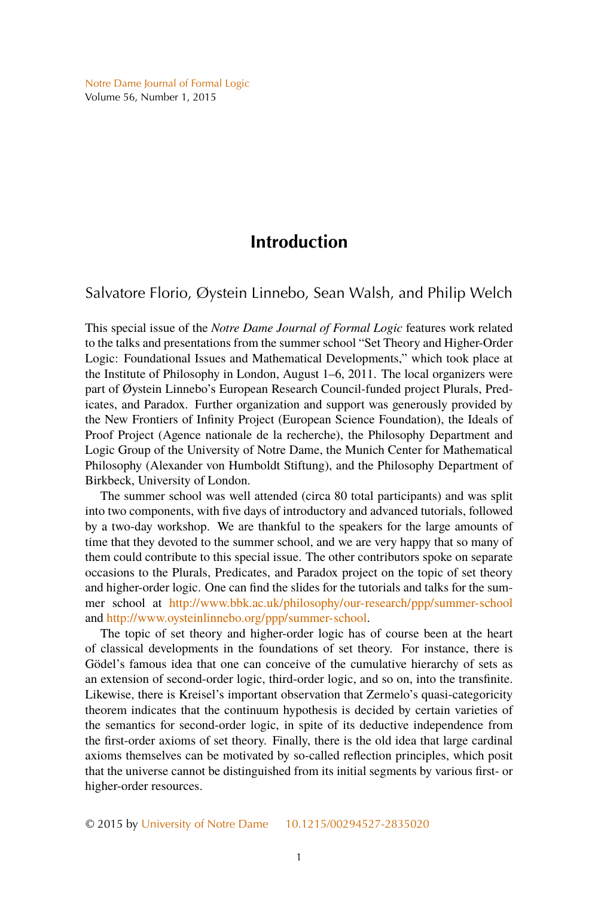## **Introduction**

Salvatore Florio, Øystein Linnebo, Sean Walsh, and Philip Welch

This special issue of the *Notre Dame Journal of Formal Logic* features work related to the talks and presentations from the summer school "Set Theory and Higher-Order Logic: Foundational Issues and Mathematical Developments," which took place at the Institute of Philosophy in London, August 1–6, 2011. The local organizers were part of Øystein Linnebo's European Research Council-funded project Plurals, Predicates, and Paradox. Further organization and support was generously provided by the New Frontiers of Infinity Project (European Science Foundation), the Ideals of Proof Project (Agence nationale de la recherche), the Philosophy Department and Logic Group of the University of Notre Dame, the Munich Center for Mathematical Philosophy (Alexander von Humboldt Stiftung), and the Philosophy Department of Birkbeck, University of London.

The summer school was well attended (circa 80 total participants) and was split into two components, with five days of introductory and advanced tutorials, followed by a two-day workshop. We are thankful to the speakers for the large amounts of time that they devoted to the summer school, and we are very happy that so many of them could contribute to this special issue. The other contributors spoke on separate occasions to the Plurals, Predicates, and Paradox project on the topic of set theory and higher-order logic. One can find the slides for the tutorials and talks for the summer school at <http://www.bbk.ac.uk/philosophy/our-research/ppp/summer-school> and [http://www.oysteinlinnebo.org/ppp/summer-school.](http://www.oysteinlinnebo.org/ppp/summer-school)

The topic of set theory and higher-order logic has of course been at the heart of classical developments in the foundations of set theory. For instance, there is Gödel's famous idea that one can conceive of the cumulative hierarchy of sets as an extension of second-order logic, third-order logic, and so on, into the transfinite. Likewise, there is Kreisel's important observation that Zermelo's quasi-categoricity theorem indicates that the continuum hypothesis is decided by certain varieties of the semantics for second-order logic, in spite of its deductive independence from the first-order axioms of set theory. Finally, there is the old idea that large cardinal axioms themselves can be motivated by so-called reflection principles, which posit that the universe cannot be distinguished from its initial segments by various first- or higher-order resources.